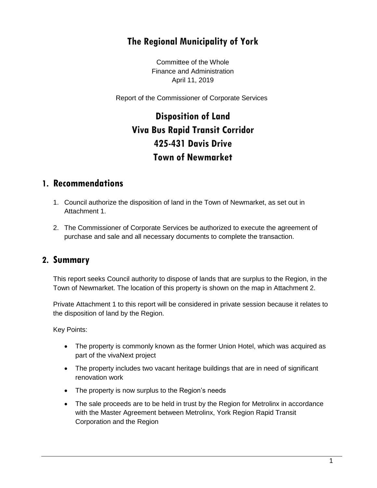### **The Regional Municipality of York**

Committee of the Whole Finance and Administration April 11, 2019

Report of the Commissioner of Corporate Services

# **Disposition of Land Viva Bus Rapid Transit Corridor 425-431 Davis Drive Town of Newmarket**

#### **1. Recommendations**

- 1. Council authorize the disposition of land in the Town of Newmarket, as set out in Attachment 1.
- 2. The Commissioner of Corporate Services be authorized to execute the agreement of purchase and sale and all necessary documents to complete the transaction.

#### **2. Summary**

This report seeks Council authority to dispose of lands that are surplus to the Region, in the Town of Newmarket. The location of this property is shown on the map in Attachment 2.

Private Attachment 1 to this report will be considered in private session because it relates to the disposition of land by the Region.

Key Points:

- The property is commonly known as the former Union Hotel, which was acquired as part of the vivaNext project
- The property includes two vacant heritage buildings that are in need of significant renovation work
- The property is now surplus to the Region's needs
- The sale proceeds are to be held in trust by the Region for Metrolinx in accordance with the Master Agreement between Metrolinx, York Region Rapid Transit Corporation and the Region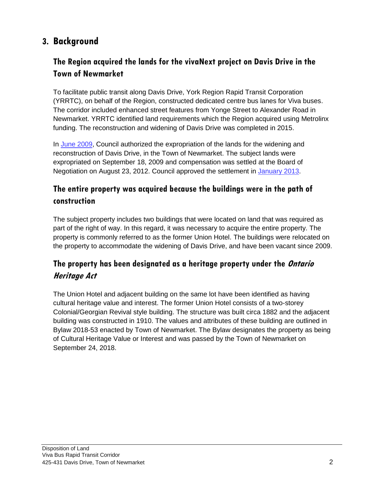## **3. Background**

#### **The Region acquired the lands for the vivaNext project on Davis Drive in the Town of Newmarket**

To facilitate public transit along Davis Drive, York Region Rapid Transit Corporation (YRRTC), on behalf of the Region, constructed dedicated centre bus lanes for Viva buses. The corridor included enhanced street features from Yonge Street to Alexander Road in Newmarket. YRRTC identified land requirements which the Region acquired using Metrolinx funding. The reconstruction and widening of Davis Drive was completed in 2015.

In [June](http://archives.york.ca/councilcommitteearchives/rtc%20rpt%201.html) 2009, Council authorized the expropriation of the lands for the widening and reconstruction of Davis Drive, in the Town of Newmarket. The subject lands were expropriated on September 18, 2009 and compensation was settled at the Board of Negotiation on August 23, 2012. Council approved the settlement in [January 2013.](http://archives.york.ca/councilcommitteearchives/pdf/rpt%201%20cls%207-2.pdf)

### **The entire property was acquired because the buildings were in the path of construction**

The subject property includes two buildings that were located on land that was required as part of the right of way. In this regard, it was necessary to acquire the entire property. The property is commonly referred to as the former Union Hotel. The buildings were relocated on the property to accommodate the widening of Davis Drive, and have been vacant since 2009.

### **The property has been designated as a heritage property under the Ontario Heritage Act**

The Union Hotel and adjacent building on the same lot have been identified as having cultural heritage value and interest. The former Union Hotel consists of a two-storey Colonial/Georgian Revival style building. The structure was built circa 1882 and the adjacent building was constructed in 1910. The values and attributes of these building are outlined in Bylaw 2018-53 enacted by Town of Newmarket. The Bylaw designates the property as being of Cultural Heritage Value or Interest and was passed by the Town of Newmarket on September 24, 2018.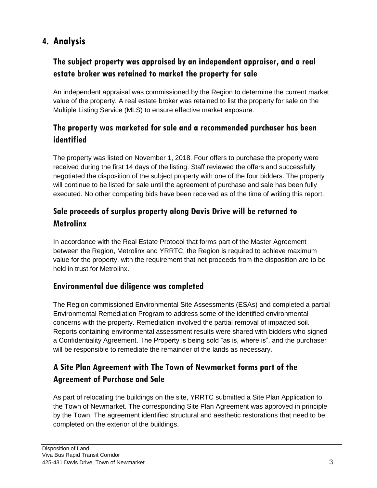## **4. Analysis**

### **The subject property was appraised by an independent appraiser, and a real estate broker was retained to market the property for sale**

An independent appraisal was commissioned by the Region to determine the current market value of the property. A real estate broker was retained to list the property for sale on the Multiple Listing Service (MLS) to ensure effective market exposure.

### **The property was marketed for sale and a recommended purchaser has been identified**

The property was listed on November 1, 2018. Four offers to purchase the property were received during the first 14 days of the listing. Staff reviewed the offers and successfully negotiated the disposition of the subject property with one of the four bidders. The property will continue to be listed for sale until the agreement of purchase and sale has been fully executed. No other competing bids have been received as of the time of writing this report.

### **Sale proceeds of surplus property along Davis Drive will be returned to Metrolinx**

In accordance with the Real Estate Protocol that forms part of the Master Agreement between the Region, Metrolinx and YRRTC, the Region is required to achieve maximum value for the property, with the requirement that net proceeds from the disposition are to be held in trust for Metrolinx.

#### **Environmental due diligence was completed**

The Region commissioned Environmental Site Assessments (ESAs) and completed a partial Environmental Remediation Program to address some of the identified environmental concerns with the property. Remediation involved the partial removal of impacted soil. Reports containing environmental assessment results were shared with bidders who signed a Confidentiality Agreement. The Property is being sold "as is, where is", and the purchaser will be responsible to remediate the remainder of the lands as necessary.

### **A Site Plan Agreement with The Town of Newmarket forms part of the Agreement of Purchase and Sale**

As part of relocating the buildings on the site, YRRTC submitted a Site Plan Application to the Town of Newmarket. The corresponding Site Plan Agreement was approved in principle by the Town. The agreement identified structural and aesthetic restorations that need to be completed on the exterior of the buildings.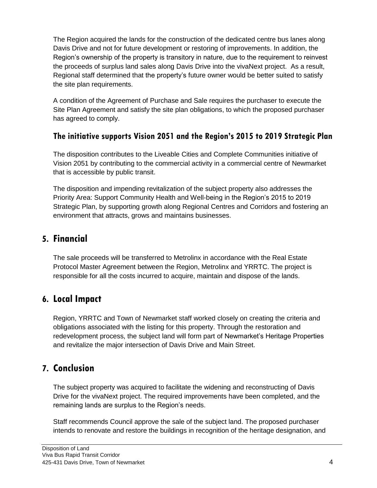The Region acquired the lands for the construction of the dedicated centre bus lanes along Davis Drive and not for future development or restoring of improvements. In addition, the Region's ownership of the property is transitory in nature, due to the requirement to reinvest the proceeds of surplus land sales along Davis Drive into the vivaNext project. As a result, Regional staff determined that the property's future owner would be better suited to satisfy the site plan requirements.

A condition of the Agreement of Purchase and Sale requires the purchaser to execute the Site Plan Agreement and satisfy the site plan obligations, to which the proposed purchaser has agreed to comply.

#### **The initiative supports Vision 2051 and the Region's 2015 to 2019 Strategic Plan**

The disposition contributes to the Liveable Cities and Complete Communities initiative of Vision 2051 by contributing to the commercial activity in a commercial centre of Newmarket that is accessible by public transit.

The disposition and impending revitalization of the subject property also addresses the Priority Area: Support Community Health and Well-being in the Region's 2015 to 2019 Strategic Plan, by supporting growth along Regional Centres and Corridors and fostering an environment that attracts, grows and maintains businesses.

#### **5. Financial**

The sale proceeds will be transferred to Metrolinx in accordance with the Real Estate Protocol Master Agreement between the Region, Metrolinx and YRRTC. The project is responsible for all the costs incurred to acquire, maintain and dispose of the lands.

#### **6. Local Impact**

Region, YRRTC and Town of Newmarket staff worked closely on creating the criteria and obligations associated with the listing for this property. Through the restoration and redevelopment process, the subject land will form part of Newmarket's Heritage Properties and revitalize the major intersection of Davis Drive and Main Street.

## **7. Conclusion**

The subject property was acquired to facilitate the widening and reconstructing of Davis Drive for the vivaNext project. The required improvements have been completed, and the remaining lands are surplus to the Region's needs.

Staff recommends Council approve the sale of the subject land. The proposed purchaser intends to renovate and restore the buildings in recognition of the heritage designation, and